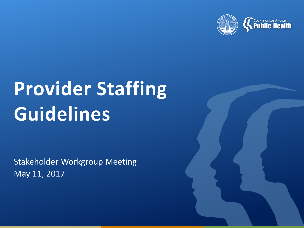

# **Provider Staffing Guidelines**

Stakeholder Workgroup Meeting May 11, 2017

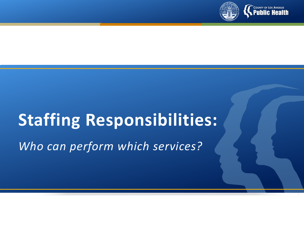

# **Staffing Responsibilities:**

*Who can perform which services?*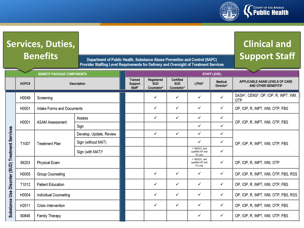

## **Services, Duties, Benefits**

Department of Public Health, Substance Abuse Prevention and Control (SAPC) Provider Staffing Level Requirements for Delivery and Oversight of Treatment Services

#### **Clinical and Support Staff**

|              | <b>BENEFIT PACKAGE COMPONENTS</b> |                              | <b>STAFF LEVEL</b>                              |                                                    |                                                   |                                             |                                  |                                                                             |
|--------------|-----------------------------------|------------------------------|-------------------------------------------------|----------------------------------------------------|---------------------------------------------------|---------------------------------------------|----------------------------------|-----------------------------------------------------------------------------|
| <b>HCPCS</b> | Description                       |                              | <b>Trained</b><br>Support<br>Staff <sup>1</sup> | Registered<br><b>SUD</b><br>Counselor <sup>2</sup> | Certified<br><b>SUD</b><br>Counselor <sup>3</sup> | LPHA <sup>4</sup>                           | Medical<br>Director <sup>5</sup> | APPLICABLE ASAM LEVELS OF CARE<br>AND OTHER BENEFITS <sup>6</sup>           |
| H0049        | Screening                         |                              |                                                 | ✓                                                  | ✓                                                 | ✓                                           | ✓                                | SASH <sup>7</sup> , CENS <sup>8</sup> , OP, IOP, R, INPT, WM,<br><b>OTP</b> |
| H0001        | Intake Forms and Documents        |                              |                                                 | ✓                                                  | ✓                                                 | ✓                                           | ✓                                | OP, IOP, R, INPT, WM, OTP, FBS                                              |
| H0001        | <b>ASAM Assessment</b>            | Assess                       |                                                 | ✓                                                  | ✓                                                 | ✓                                           | ✓                                | OP, IOP, R, INPT, WM, OTP, FBS                                              |
|              |                                   | Sign                         |                                                 |                                                    |                                                   | ✓                                           | $\checkmark$                     |                                                                             |
| T1007        | <b>Treatment Plan</b>             | Develop, Update, Review      |                                                 | ✓                                                  | ✓                                                 | ✓                                           | ✓                                | OP, IOP, R, INPT, WM, OTP, FBS                                              |
|              |                                   | Sign (without MAT)           |                                                 |                                                    |                                                   | ✓                                           | ✓                                |                                                                             |
|              |                                   | Sign (with MAT) <sup>9</sup> |                                                 |                                                    |                                                   | √ MD/DO, and<br>qualified NP and<br>PA only | ✓                                |                                                                             |
| 99203        | Physical Exam                     |                              |                                                 |                                                    |                                                   | √ MD/DO, and<br>qualified NP and<br>PA only | ✓                                | OP, IOP, R, INPT, WM, OTP                                                   |
| H0005        | Group Counseling                  |                              |                                                 | ✓                                                  | ✓                                                 | ✓                                           | ✓                                | OP, IOP, R, INPT, WM, OTP, FBS, RSS                                         |
| T1012        | <b>Patient Education</b>          |                              |                                                 | ✓                                                  | ✓                                                 | ✓                                           | ✓                                | OP, IOP, R, INPT, WM, OTP, FBS                                              |
| H0004        | Individual Counseling             |                              |                                                 | ✓                                                  | ✓                                                 | ✓                                           | ✓                                | OP, IOP, R, INPT, WM, OTP, FBS, RSS                                         |
| H2011        | Crisis Intervention               |                              |                                                 | ✓                                                  | ✓                                                 | ✓                                           | ✓                                | OP, IOP, R, INPT, WM, OTP, FBS                                              |
| 90846        | Family Therapy                    |                              |                                                 |                                                    |                                                   | ✓                                           | ✓                                | OP, IOP, R, INPT, WM, OTP, FBS                                              |
|              |                                   |                              |                                                 |                                                    |                                                   |                                             |                                  |                                                                             |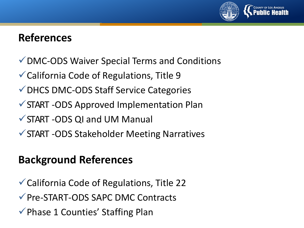

#### **References**

- DMC-ODS Waiver Special Terms and Conditions
- California Code of Regulations, Title 9
- DHCS DMC-ODS Staff Service Categories
- START -ODS Approved Implementation Plan
- START -ODS QI and UM Manual
- START -ODS Stakeholder Meeting Narratives

#### **Background References**

California Code of Regulations, Title 22 Pre-START-ODS SAPC DMC Contracts  $\checkmark$  Phase 1 Counties' Staffing Plan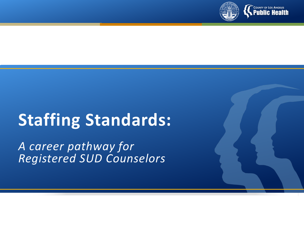

# **Staffing Standards:**

*A career pathway for Registered SUD Counselors*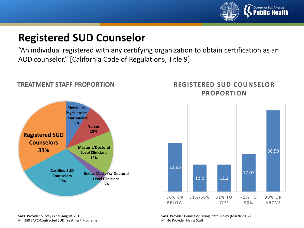

#### **Registered SUD Counselor**

"An individual registered with any certifying organization to obtain certification as an AOD counselor." [California Code of Regulations, Title 9]



#### **TREATMENT STAFF PROPORTION**

#### **REGISTERED SUD COUNSELOR PROPORTION**



SAPC Provider Survey (April-August 2015) N = 189 SAPC-Contracted SUD Treatment Programs SAPC Provider Counselor Hiring Staff Survey (March 2017) N = 46 Provider Hiring Staff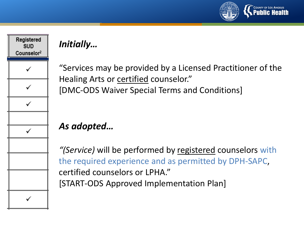



#### *Initially…*

"Services may be provided by a Licensed Practitioner of the Healing Arts or certified counselor." [DMC-ODS Waiver Special Terms and Conditions]

#### *As adopted…*

*"(Service)* will be performed by registered counselors with the required experience and as permitted by DPH-SAPC, certified counselors or LPHA." [START-ODS Approved Implementation Plan]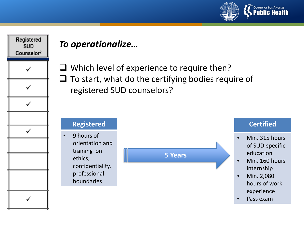



#### *To operationalize…*

 $\Box$  Which level of experience to require then?  $\Box$  To start, what do the certifying bodies require of registered SUD counselors?

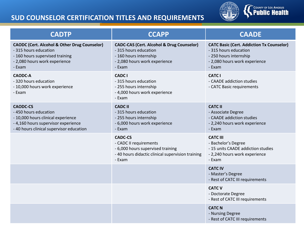#### **SUD COUNSELOR CERTIFICATION TITLES AND REQUIREMENTS**



| <b>CADTP</b>                                                                                                                                                      | <b>CCAPP</b>                                                                                                                                       | <b>CAADE</b>                                                                                                                                   |  |  |
|-------------------------------------------------------------------------------------------------------------------------------------------------------------------|----------------------------------------------------------------------------------------------------------------------------------------------------|------------------------------------------------------------------------------------------------------------------------------------------------|--|--|
| <b>CAODC (Cert. Alcohol &amp; Other Drug Counselor)</b><br>- 315 hours education<br>- 160 hours supervised training<br>- 2,080 hours work experience<br>- Exam    | <b>CADC-CAS (Cert. Alcohol &amp; Drug Counselor)</b><br>- 315 hours education<br>- 160 hours internship<br>- 2,080 hours work experience<br>- Exam | <b>CATC Basic (Cert. Addiction Tx Counselor)</b><br>- 315 hours education<br>- 250 hours internship<br>- 2,080 hours work experience<br>- Exam |  |  |
| <b>CAODC-A</b><br>- 320 hours education<br>- 10,000 hours work experience<br>- Exam                                                                               | <b>CADC I</b><br>- 315 hours education<br>- 255 hours internship<br>- 4,000 hours work experience<br>- Exam                                        | <b>CATC I</b><br>- CAADE addiction studies<br>- CATC Basic requirements                                                                        |  |  |
| <b>CAODC-CS</b><br>- 450 hours education<br>- 10,000 hours clinical experience<br>- 4,160 hours supervisor experience<br>- 40 hours clinical supervisor education | <b>CADC II</b><br>- 315 hours education<br>- 255 hours internship<br>- 6,000 hours work experience<br>- Exam                                       | <b>CATC II</b><br>- Associate Degree<br>- CAADE addiction studies<br>- 2,240 hours work experience<br>- Exam                                   |  |  |
|                                                                                                                                                                   | <b>CADC-CS</b><br>- CADC II requirements<br>- 6,000 hours supervised training<br>- 40 hours didactic clinical supervision training<br>- Exam       | <b>CATC III</b><br>- Bachelor's Degree<br>- 15 units CAADE addiction studies<br>- 2,240 hours work experience<br>- Exam                        |  |  |
|                                                                                                                                                                   |                                                                                                                                                    | <b>CATC IV</b><br>- Master's Degree<br>- Rest of CATC III requirements                                                                         |  |  |
|                                                                                                                                                                   |                                                                                                                                                    | <b>CATC V</b><br>- Doctorate Degree<br>- Rest of CATC III requirements                                                                         |  |  |
|                                                                                                                                                                   |                                                                                                                                                    | <b>CATC N</b><br>- Nursing Degree<br>- Rest of CATC III requirements                                                                           |  |  |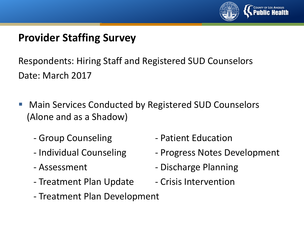

Respondents: Hiring Staff and Registered SUD Counselors Date: March 2017

- Main Services Conducted by Registered SUD Counselors (Alone and as a Shadow)
	-
	-
	-
	- Treatment Plan Update Crisis Intervention
- Group Counseling  **Patient Education**
- Individual Counseling The Progress Notes Development
- Assessment Discharge Planning
	-
- Treatment Plan Development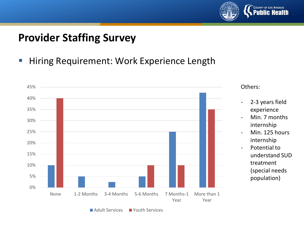

■ Hiring Requirement: Work Experience Length



Adult Services Youth Services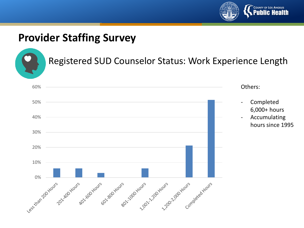



#### Registered SUD Counselor Status: Work Experience Length

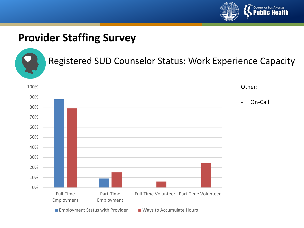



#### Registered SUD Counselor Status: Work Experience Capacity

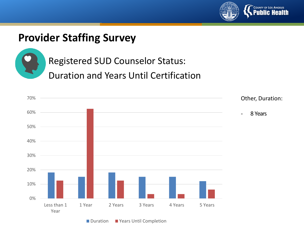



Registered SUD Counselor Status:

Duration and Years Until Certification



■ Duration ■ Years Until Completion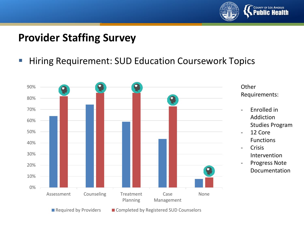

**Hiring Requirement: SUD Education Coursework Topics** 

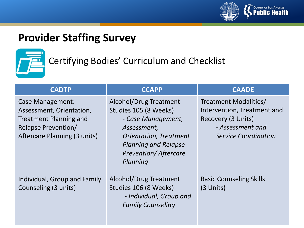



#### Certifying Bodies' Curriculum and Checklist

| <b>CADTP</b>                                                                                                                                       | <b>CCAPP</b>                                                                                                                                                                                           | <b>CAADE</b>                                                                                                                  |  |  |
|----------------------------------------------------------------------------------------------------------------------------------------------------|--------------------------------------------------------------------------------------------------------------------------------------------------------------------------------------------------------|-------------------------------------------------------------------------------------------------------------------------------|--|--|
| <b>Case Management:</b><br>Assessment, Orientation,<br><b>Treatment Planning and</b><br><b>Relapse Prevention/</b><br>Aftercare Planning (3 units) | <b>Alcohol/Drug Treatment</b><br>Studies 105 (8 Weeks)<br>- Case Management,<br>Assessment,<br><b>Orientation, Treatment</b><br><b>Planning and Relapse</b><br><b>Prevention/Aftercare</b><br>Planning | Treatment Modalities/<br>Intervention, Treatment and<br>Recovery (3 Units)<br>- Assessment and<br><b>Service Coordination</b> |  |  |
| Individual, Group and Family<br>Counseling (3 units)                                                                                               | Alcohol/Drug Treatment<br>Studies 106 (8 Weeks)<br>- Individual, Group and<br><b>Family Counseling</b>                                                                                                 | <b>Basic Counseling Skills</b><br>$(3$ Units)                                                                                 |  |  |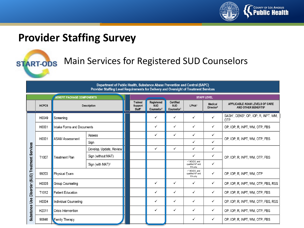

# **START-ODS**

#### Main Services for Registered SUD Counselors

#### Department of Public Health, Substance Abuse Prevention and Control (SAPC) Provider Staffing Level Requirements for Delivery and Oversight of Treatment Services

| <b>BENEFIT PACKAGE COMPONENTS</b>               |              |                            | <b>STAFF LEVEL</b>           |                                          |                                                    |                                                   |                                             |                                         |                                                                             |
|-------------------------------------------------|--------------|----------------------------|------------------------------|------------------------------------------|----------------------------------------------------|---------------------------------------------------|---------------------------------------------|-----------------------------------------|-----------------------------------------------------------------------------|
|                                                 | <b>HCPCS</b> | Description                |                              | Trained<br>Support<br>Staff <sup>1</sup> | Registered<br><b>SUD</b><br>Counselor <sup>2</sup> | Certified<br><b>SUD</b><br>Counselor <sup>3</sup> | LPHA <sup>4</sup>                           | <b>Medical</b><br>Director <sup>5</sup> | APPLICABLE ASAM LEVELS OF CARE<br>AND OTHER BENEFITS <sup>6</sup>           |
|                                                 | H0049        | Screening                  |                              |                                          | ✓                                                  | ✓                                                 | ✓                                           |                                         | SASH <sup>7</sup> , CENS <sup>8</sup> , OP, IOP, R, INPT, WM,<br><b>OTP</b> |
|                                                 | H0001        | Intake Forms and Documents |                              |                                          | ✓                                                  | $\checkmark$                                      | ✓                                           | $\checkmark$                            | OP, IOP, R, INPT, WM, OTP, FBS                                              |
| Substance Use Disorder (SUD) Treatment Services | H0001        | <b>ASAM Assessment</b>     | Assess                       |                                          | ✓                                                  | $\checkmark$                                      | ✓                                           | ✓                                       | OP, IOP, R, INPT, WM, OTP, FBS                                              |
|                                                 |              |                            | Sign                         |                                          |                                                    |                                                   | ✓                                           | $\checkmark$                            |                                                                             |
|                                                 | T1007        | <b>Treatment Plan</b>      | Develop, Update, Review      |                                          | ✓                                                  | ✓                                                 | ✓                                           | $\checkmark$                            | OP, IOP, R, INPT, WM, OTP, FBS                                              |
|                                                 |              |                            | Sign (without MAT)           |                                          |                                                    |                                                   | ✓                                           | $\checkmark$                            |                                                                             |
|                                                 |              |                            | Sign (with MAT) <sup>9</sup> |                                          |                                                    |                                                   | √ MD/DO, and<br>qualified NP and<br>PA only | ✓                                       |                                                                             |
|                                                 | 99203        | Physical Exam              |                              |                                          |                                                    |                                                   | √ MD/DO, and<br>qualified NP and<br>PA only | ✓                                       | OP, IOP, R, INPT, WM, OTP                                                   |
|                                                 | H0005        | Group Counseling           |                              |                                          | ✓                                                  | $\checkmark$                                      | ✓                                           | ✓                                       | OP, IOP, R, INPT, WM, OTP, FBS, RSS                                         |
|                                                 | T1012        | <b>Patient Education</b>   |                              |                                          | ✓                                                  | ✓                                                 | ✓                                           | $\checkmark$                            | OP, IOP, R, INPT, WM, OTP, FBS                                              |
|                                                 | H0004        | Individual Counseling      |                              |                                          | ✓                                                  | $\checkmark$                                      | ✓                                           | $\checkmark$                            | OP, IOP, R, INPT, WM, OTP, FBS, RSS                                         |
|                                                 | H2011        | Crisis Intervention        |                              |                                          | ✓                                                  | ✓                                                 | ✓                                           | $\checkmark$                            | OP, IOP, R, INPT, WM, OTP, FBS                                              |
|                                                 | 90846        | <b>Family Therapy</b>      |                              |                                          |                                                    |                                                   | ✓                                           | $\checkmark$                            | OP, IOP, R, INPT, WM, OTP, FBS                                              |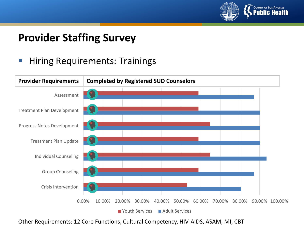

#### **Hiring Requirements: Trainings**



Other Requirements: 12 Core Functions, Cultural Competency, HIV-AIDS, ASAM, MI, CBT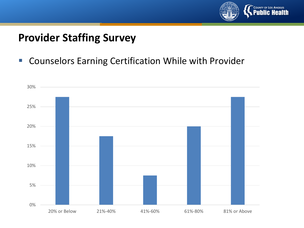

■ Counselors Earning Certification While with Provider

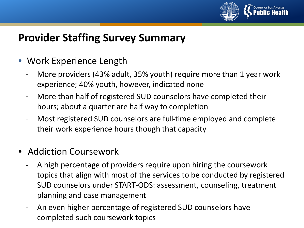

#### **Provider Staffing Survey Summary**

- Work Experience Length
	- More providers (43% adult, 35% youth) require more than 1 year work experience; 40% youth, however, indicated none
	- More than half of registered SUD counselors have completed their hours; about a quarter are half way to completion
	- Most registered SUD counselors are full-time employed and complete their work experience hours though that capacity
- Addiction Coursework
	- A high percentage of providers require upon hiring the coursework topics that align with most of the services to be conducted by registered SUD counselors under START-ODS: assessment, counseling, treatment planning and case management
	- An even higher percentage of registered SUD counselors have completed such coursework topics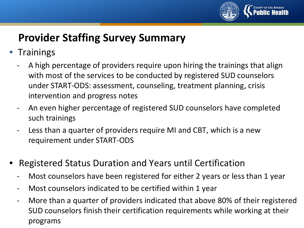

## **Provider Staffing Survey Summary**

- Trainings
	- A high percentage of providers require upon hiring the trainings that align with most of the services to be conducted by registered SUD counselors under START-ODS: assessment, counseling, treatment planning, crisis intervention and progress notes
	- An even higher percentage of registered SUD counselors have completed such trainings
	- Less than a quarter of providers require MI and CBT, which is a new requirement under START-ODS
- Registered Status Duration and Years until Certification
	- Most counselors have been registered for either 2 years or less than 1 year
	- Most counselors indicated to be certified within 1 year
	- More than a quarter of providers indicated that above 80% of their registered SUD counselors finish their certification requirements while working at their programs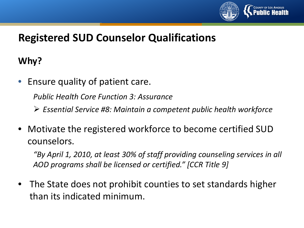

#### **Why?**

Ensure quality of patient care.

*Public Health Core Function 3: Assurance*

*Essential Service #8: Maintain a competent public health workforce*

• Motivate the registered workforce to become certified SUD counselors.

*"By April 1, 2010, at least 30% of staff providing counseling services in all AOD programs shall be licensed or certified." [CCR Title 9]* 

• The State does not prohibit counties to set standards higher than its indicated minimum.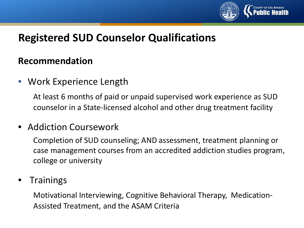

#### **Recommendation**

• Work Experience Length

At least 6 months of paid or unpaid supervised work experience as SUD counselor in a State-licensed alcohol and other drug treatment facility

#### • Addiction Coursework

Completion of SUD counseling; AND assessment, treatment planning or case management courses from an accredited addiction studies program, college or university

#### **Trainings**

Motivational Interviewing, Cognitive Behavioral Therapy, Medication-Assisted Treatment, and the ASAM Criteria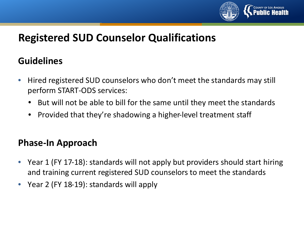

#### **Guidelines**

- Hired registered SUD counselors who don't meet the standards may still perform START-ODS services:
	- But will not be able to bill for the same until they meet the standards
	- Provided that they're shadowing a higher-level treatment staff

#### **Phase-In Approach**

- Year 1 (FY 17-18): standards will not apply but providers should start hiring and training current registered SUD counselors to meet the standards
- Year 2 (FY 18-19): standards will apply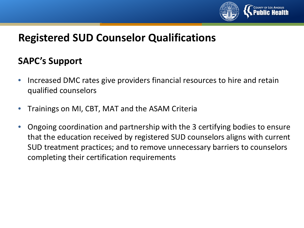

#### **SAPC's Support**

- Increased DMC rates give providers financial resources to hire and retain qualified counselors
- Trainings on MI, CBT, MAT and the ASAM Criteria
- Ongoing coordination and partnership with the 3 certifying bodies to ensure that the education received by registered SUD counselors aligns with current SUD treatment practices; and to remove unnecessary barriers to counselors completing their certification requirements